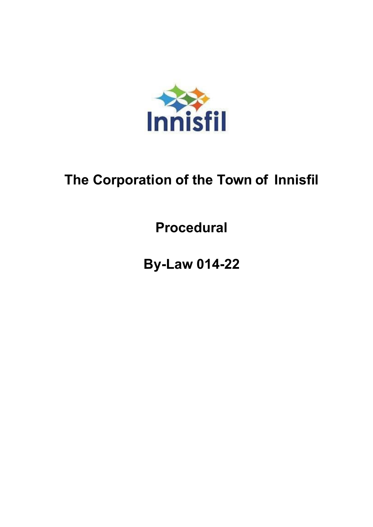

# **The Corporation of the Town of Innisfil**

**Procedural**

**By-Law 014-22**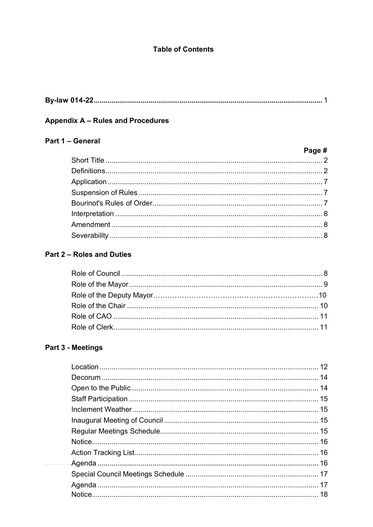# **Table of Contents**

|--|--|

# Appendix A - Rules and Procedures

# Part 1 - General

| Page # |
|--------|
|        |
|        |
|        |
|        |
|        |
|        |
|        |
|        |
|        |

# Part 2 - Roles and Duties

# Part 3 - Meetings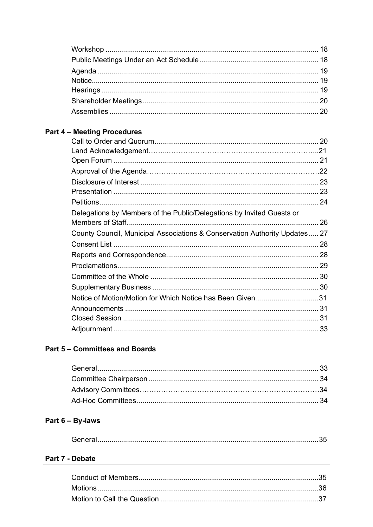# **Part 4 - Meeting Procedures**

| Delegations by Members of the Public/Delegations by Invited Guests or      |  |
|----------------------------------------------------------------------------|--|
|                                                                            |  |
| County Council, Municipal Associations & Conservation Authority Updates 27 |  |
|                                                                            |  |
|                                                                            |  |
|                                                                            |  |
|                                                                            |  |
|                                                                            |  |
| Notice of Motion/Motion for Which Notice has Been Given31                  |  |
|                                                                            |  |
|                                                                            |  |
|                                                                            |  |

# **Part 5 - Committees and Boards**

# Part 6 - By-laws

|--|

# Part 7 - Debate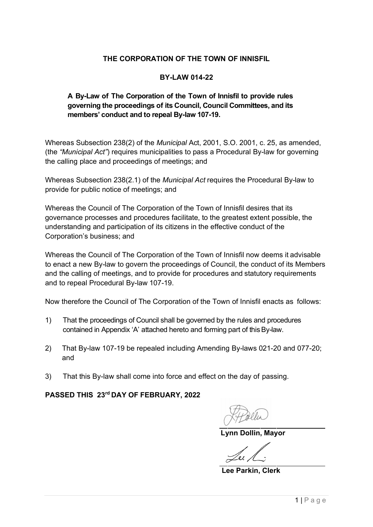# **THE CORPORATION OF THE TOWN OF INNISFIL**

# **BY-LAW 014-22**

# **A By-Law of The Corporation of the Town of Innisfil to provide rules governing the proceedings of its Council, Council Committees, and its members' conduct and to repeal By-law 107-19.**

Whereas Subsection 238(2) of the *Municipal* Act, 2001, S.O. 2001, c. 25, as amended, (the *"Municipal Act"*) requires municipalities to pass a Procedural By-law for governing the calling place and proceedings of meetings; and

Whereas Subsection 238(2.1) of the *Municipal Act* requires the Procedural By-law to provide for public notice of meetings; and

Whereas the Council of The Corporation of the Town of Innisfil desires that its governance processes and procedures facilitate, to the greatest extent possible, the understanding and participation of its citizens in the effective conduct of the Corporation's business; and

Whereas the Council of The Corporation of the Town of Innisfil now deems it advisable to enact a new By-law to govern the proceedings of Council, the conduct of its Members and the calling of meetings, and to provide for procedures and statutory requirements and to repeal Procedural By-law 107-19.

Now therefore the Council of The Corporation of the Town of Innisfil enacts as follows:

- 1) That the proceedings of Council shall be governed by the rules and procedures contained in Appendix 'A' attached hereto and forming part of this By-law.
- 2) That By-law 107-19 be repealed including Amending By-laws 021-20 and 077-20; and
- 3) That this By-law shall come into force and effect on the day of passing.

**PASSED THIS 23rd DAY OF FEBRUARY, 2022**

 **Lynn Dollin, Mayor**

**Lee Parkin, Clerk**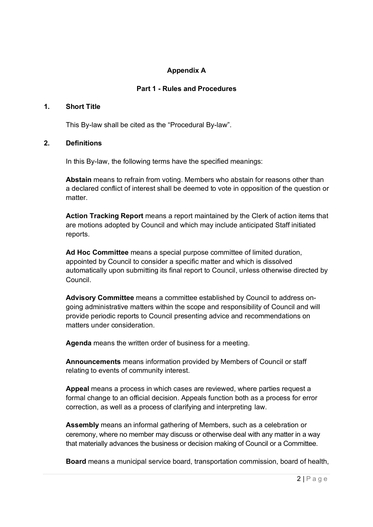# **Appendix A**

#### **Part 1 - Rules and Procedures**

# **1. Short Title**

This By-law shall be cited as the "Procedural By-law".

#### **2. Definitions**

In this By-law, the following terms have the specified meanings:

**Abstain** means to refrain from voting. Members who abstain for reasons other than a declared conflict of interest shall be deemed to vote in opposition of the question or matter.

**Action Tracking Report** means a report maintained by the Clerk of action items that are motions adopted by Council and which may include anticipated Staff initiated reports.

**Ad Hoc Committee** means a special purpose committee of limited duration, appointed by Council to consider a specific matter and which is dissolved automatically upon submitting its final report to Council, unless otherwise directed by Council.

**Advisory Committee** means a committee established by Council to address ongoing administrative matters within the scope and responsibility of Council and will provide periodic reports to Council presenting advice and recommendations on matters under consideration.

**Agenda** means the written order of business for a meeting.

**Announcements** means information provided by Members of Council or staff relating to events of community interest.

**Appeal** means a process in which cases are reviewed, where parties request a formal change to an official decision. Appeals function both as a process for error correction, as well as a process of clarifying and interpreting law.

**Assembly** means an informal gathering of Members, such as a celebration or ceremony, where no member may discuss or otherwise deal with any matter in a way that materially advances the business or decision making of Council or a Committee.

**Board** means a municipal service board, transportation commission, board of health,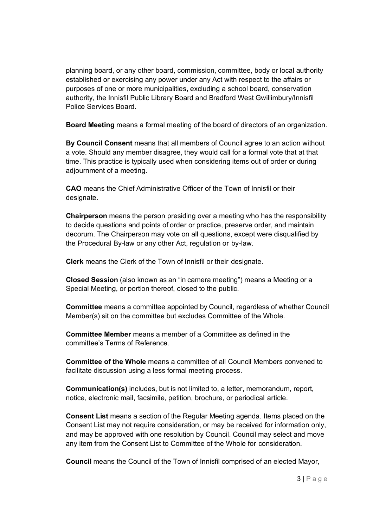planning board, or any other board, commission, committee, body or local authority established or exercising any power under any Act with respect to the affairs or purposes of one or more municipalities, excluding a school board, conservation authority, the Innisfil Public Library Board and Bradford West Gwillimbury/Innisfil Police Services Board.

**Board Meeting** means a formal meeting of the board of directors of an organization.

**By Council Consent** means that all members of Council agree to an action without a vote. Should any member disagree, they would call for a formal vote that at that time. This practice is typically used when considering items out of order or during adjournment of a meeting.

**CAO** means the Chief Administrative Officer of the Town of Innisfil or their designate.

**Chairperson** means the person presiding over a meeting who has the responsibility to decide questions and points of order or practice, preserve order, and maintain decorum. The Chairperson may vote on all questions, except were disqualified by the Procedural By-law or any other Act, regulation or by-law.

**Clerk** means the Clerk of the Town of Innisfil or their designate.

**Closed Session** (also known as an "in camera meeting") means a Meeting or a Special Meeting, or portion thereof, closed to the public.

**Committee** means a committee appointed by Council, regardless of whether Council Member(s) sit on the committee but excludes Committee of the Whole.

**Committee Member** means a member of a Committee as defined in the committee's Terms of Reference.

**Committee of the Whole** means a committee of all Council Members convened to facilitate discussion using a less formal meeting process.

**Communication(s)** includes, but is not limited to, a letter, memorandum, report, notice, electronic mail, facsimile, petition, brochure, or periodical article.

**Consent List** means a section of the Regular Meeting agenda. Items placed on the Consent List may not require consideration, or may be received for information only, and may be approved with one resolution by Council. Council may select and move any item from the Consent List to Committee of the Whole for consideration.

**Council** means the Council of the Town of Innisfil comprised of an elected Mayor,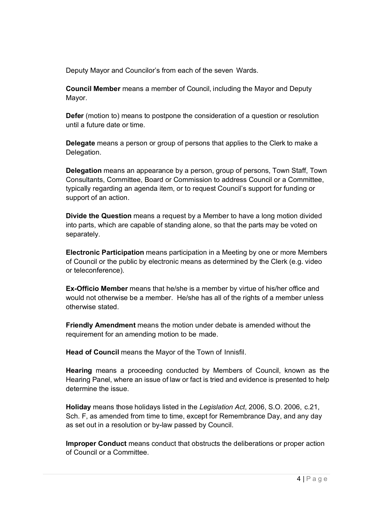Deputy Mayor and Councilor's from each of the seven Wards.

**Council Member** means a member of Council, including the Mayor and Deputy Mayor.

**Defer** (motion to) means to postpone the consideration of a question or resolution until a future date or time.

**Delegate** means a person or group of persons that applies to the Clerk to make a Delegation.

**Delegation** means an appearance by a person, group of persons, Town Staff, Town Consultants, Committee, Board or Commission to address Council or a Committee, typically regarding an agenda item, or to request Council's support for funding or support of an action.

**Divide the Question** means a request by a Member to have a long motion divided into parts, which are capable of standing alone, so that the parts may be voted on separately.

**Electronic Participation** means participation in a Meeting by one or more Members of Council or the public by electronic means as determined by the Clerk (e.g. video or teleconference).

**Ex-Officio Member** means that he/she is a member by virtue of his/her office and would not otherwise be a member. He/she has all of the rights of a member unless otherwise stated.

**Friendly Amendment** means the motion under debate is amended without the requirement for an amending motion to be made.

**Head of Council** means the Mayor of the Town of Innisfil.

**Hearing** means a proceeding conducted by Members of Council, known as the Hearing Panel, where an issue of law or fact is tried and evidence is presented to help determine the issue.

**Holiday** means those holidays listed in the *Legislation Act*, 2006, S.O. 2006, c.21, Sch. F, as amended from time to time, except for Remembrance Day, and any day as set out in a resolution or by-law passed by Council.

**Improper Conduct** means conduct that obstructs the deliberations or proper action of Council or a Committee.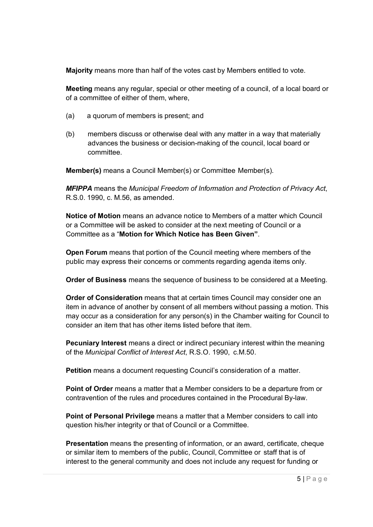**Majority** means more than half of the votes cast by Members entitled to vote.

**Meeting** means any regular, special or other meeting of a council, of a local board or of a committee of either of them, where,

- (a) a quorum of members is present; and
- (b) members discuss or otherwise deal with any matter in a way that materially advances the business or decision-making of the council, local board or committee.

**Member(s)** means a Council Member(s) or Committee Member(s).

*MFIPPA* means the *Municipal Freedom of Information and Protection of Privacy Act*, R.S.0. 1990, c. M.56, as amended.

**Notice of Motion** means an advance notice to Members of a matter which Council or a Committee will be asked to consider at the next meeting of Council or a Committee as a "**Motion for Which Notice has Been Given"**.

**Open Forum** means that portion of the Council meeting where members of the public may express their concerns or comments regarding agenda items only.

**Order of Business** means the sequence of business to be considered at a Meeting.

**Order of Consideration** means that at certain times Council may consider one an item in advance of another by consent of all members without passing a motion. This may occur as a consideration for any person(s) in the Chamber waiting for Council to consider an item that has other items listed before that item.

**Pecuniary Interest** means a direct or indirect pecuniary interest within the meaning of the *Municipal Conflict of Interest Act*, R.S.O. 1990, c.M.50.

**Petition** means a document requesting Council's consideration of a matter.

**Point of Order** means a matter that a Member considers to be a departure from or contravention of the rules and procedures contained in the Procedural By-law.

**Point of Personal Privilege** means a matter that a Member considers to call into question his/her integrity or that of Council or a Committee.

**Presentation** means the presenting of information, or an award, certificate, cheque or similar item to members of the public, Council, Committee or staff that is of interest to the general community and does not include any request for funding or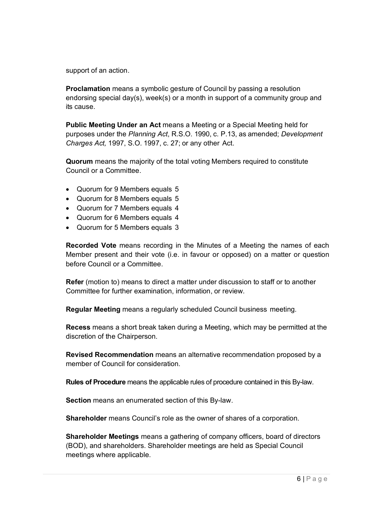support of an action.

**Proclamation** means a symbolic gesture of Council by passing a resolution endorsing special day(s), week(s) or a month in support of a community group and its cause.

**Public Meeting Under an Act** means a Meeting or a Special Meeting held for purposes under the *Planning Act*, R.S.O. 1990, c. P.13, as amended; *Development Charges Act,* 1997, S.O. 1997, c. 27; or any other Act.

**Quorum** means the majority of the total voting Members required to constitute Council or a Committee.

- Quorum for 9 Members equals 5
- Quorum for 8 Members equals 5
- Quorum for 7 Members equals 4
- Quorum for 6 Members equals 4
- Quorum for 5 Members equals 3

**Recorded Vote** means recording in the Minutes of a Meeting the names of each Member present and their vote (i.e. in favour or opposed) on a matter or question before Council or a Committee.

**Refer** (motion to) means to direct a matter under discussion to staff or to another Committee for further examination, information, or review.

**Regular Meeting** means a regularly scheduled Council business meeting.

**Recess** means a short break taken during a Meeting, which may be permitted at the discretion of the Chairperson.

**Revised Recommendation** means an alternative recommendation proposed by a member of Council for consideration.

**Rules of Procedure** means the applicable rules of procedure contained in this By-law.

**Section** means an enumerated section of this By-law.

**Shareholder** means Council's role as the owner of shares of a corporation.

**Shareholder Meetings** means a gathering of company officers, board of directors (BOD), and shareholders. Shareholder meetings are held as Special Council meetings where applicable.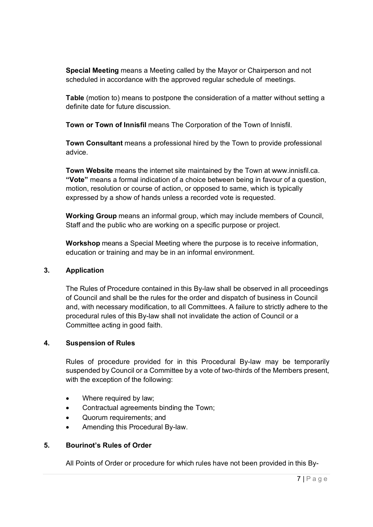**Special Meeting** means a Meeting called by the Mayor or Chairperson and not scheduled in accordance with the approved regular schedule of meetings.

**Table** (motion to) means to postpone the consideration of a matter without setting a definite date for future discussion.

**Town or Town of Innisfil** means The Corporation of the Town of Innisfil.

**Town Consultant** means a professional hired by the Town to provide professional advice.

**Town Website** means the internet site maintained by the Town at www.innisfil.ca. **"Vote"** means a formal indication of a choice between being in favour of a question, motion, resolution or course of action, or opposed to same, which is typically expressed by a show of hands unless a recorded vote is requested.

**Working Group** means an informal group, which may include members of Council, Staff and the public who are working on a specific purpose or project.

**Workshop** means a Special Meeting where the purpose is to receive information, education or training and may be in an informal environment.

#### **3. Application**

The Rules of Procedure contained in this By-law shall be observed in all proceedings of Council and shall be the rules for the order and dispatch of business in Council and, with necessary modification, to all Committees. A failure to strictly adhere to the procedural rules of this By-law shall not invalidate the action of Council or a Committee acting in good faith.

#### **4. Suspension of Rules**

Rules of procedure provided for in this Procedural By-law may be temporarily suspended by Council or a Committee by a vote of two-thirds of the Members present, with the exception of the following:

- Where required by law;
- Contractual agreements binding the Town;
- Quorum requirements; and
- Amending this Procedural By-law.

#### **5. Bourinot's Rules of Order**

All Points of Order or procedure for which rules have not been provided in this By-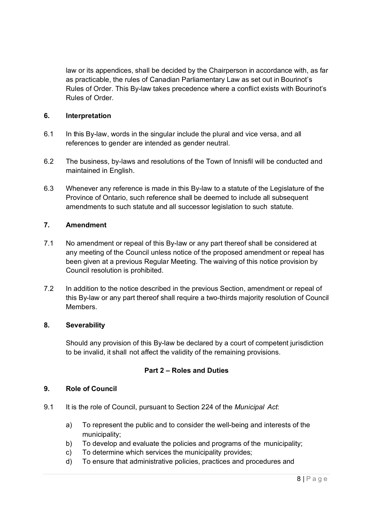law or its appendices, shall be decided by the Chairperson in accordance with, as far as practicable, the rules of Canadian Parliamentary Law as set out in Bourinot's Rules of Order. This By-law takes precedence where a conflict exists with Bourinot's Rules of Order.

# **6. Interpretation**

- 6.1 In this By-law, words in the singular include the plural and vice versa, and all references to gender are intended as gender neutral.
- 6.2 The business, by-laws and resolutions of the Town of Innisfil will be conducted and maintained in English.
- 6.3 Whenever any reference is made in this By-law to a statute of the Legislature of the Province of Ontario, such reference shall be deemed to include all subsequent amendments to such statute and all successor legislation to such statute.

# **7. Amendment**

- 7.1 No amendment or repeal of this By-law or any part thereof shall be considered at any meeting of the Council unless notice of the proposed amendment or repeal has been given at a previous Regular Meeting. The waiving of this notice provision by Council resolution is prohibited.
- 7.2 In addition to the notice described in the previous Section, amendment or repeal of this By-law or any part thereof shall require a two-thirds majority resolution of Council Members.

#### **8. Severability**

Should any provision of this By-law be declared by a court of competent jurisdiction to be invalid, it shall not affect the validity of the remaining provisions.

# **Part 2 – Roles and Duties**

#### **9. Role of Council**

- 9.1 It is the role of Council, pursuant to Section 224 of the *Municipal Act*:
	- a) To represent the public and to consider the well-being and interests of the municipality;
	- b) To develop and evaluate the policies and programs of the municipality;
	- c) To determine which services the municipality provides;
	- d) To ensure that administrative policies, practices and procedures and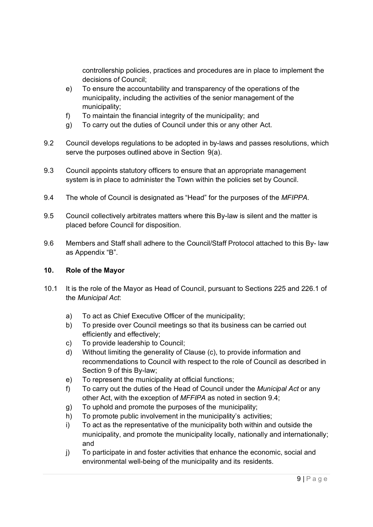controllership policies, practices and procedures are in place to implement the decisions of Council;

- e) To ensure the accountability and transparency of the operations of the municipality, including the activities of the senior management of the municipality;
- f) To maintain the financial integrity of the municipality; and
- g) To carry out the duties of Council under this or any other Act.
- 9.2 Council develops regulations to be adopted in by-laws and passes resolutions, which serve the purposes outlined above in Section 9(a).
- 9.3 Council appoints statutory officers to ensure that an appropriate management system is in place to administer the Town within the policies set by Council.
- 9.4 The whole of Council is designated as "Head" for the purposes of the *MFIPPA*.
- 9.5 Council collectively arbitrates matters where this By-law is silent and the matter is placed before Council for disposition.
- 9.6 Members and Staff shall adhere to the Council/Staff Protocol attached to this By- law as Appendix "B".

#### **10. Role of the Mayor**

- 10.1 It is the role of the Mayor as Head of Council, pursuant to Sections 225 and 226.1 of the *Municipal Act*:
	- a) To act as Chief Executive Officer of the municipality;
	- b) To preside over Council meetings so that its business can be carried out efficiently and effectively;
	- c) To provide leadership to Council;
	- d) Without limiting the generality of Clause (c), to provide information and recommendations to Council with respect to the role of Council as described in Section 9 of this By-law;
	- e) To represent the municipality at official functions;
	- f) To carry out the duties of the Head of Council under the *Municipal Act* or any other Act, with the exception of *MFFIPA* as noted in section 9.4;
	- g) To uphold and promote the purposes of the municipality;
	- h) To promote public involvement in the municipality's activities;
	- i) To act as the representative of the municipality both within and outside the municipality, and promote the municipality locally, nationally and internationally; and
	- j) To participate in and foster activities that enhance the economic, social and environmental well-being of the municipality and its residents.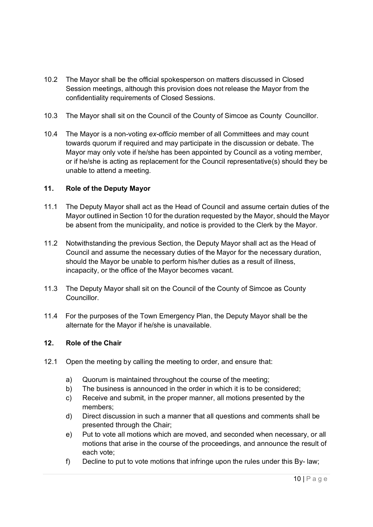- 10.2 The Mayor shall be the official spokesperson on matters discussed in Closed Session meetings, although this provision does not release the Mayor from the confidentiality requirements of Closed Sessions.
- 10.3 The Mayor shall sit on the Council of the County of Simcoe as County Councillor.
- 10.4 The Mayor is a non-voting *ex-officio* member of all Committees and may count towards quorum if required and may participate in the discussion or debate. The Mayor may only vote if he/she has been appointed by Council as a voting member, or if he/she is acting as replacement for the Council representative(s) should they be unable to attend a meeting.

# **11. Role of the Deputy Mayor**

- 11.1 The Deputy Mayor shall act as the Head of Council and assume certain duties of the Mayor outlined in Section 10 for the duration requested by the Mayor, should the Mayor be absent from the municipality, and notice is provided to the Clerk by the Mayor.
- 11.2 Notwithstanding the previous Section, the Deputy Mayor shall act as the Head of Council and assume the necessary duties of the Mayor for the necessary duration, should the Mayor be unable to perform his/her duties as a result of illness, incapacity, or the office of the Mayor becomes vacant.
- 11.3 The Deputy Mayor shall sit on the Council of the County of Simcoe as County Councillor.
- 11.4 For the purposes of the Town Emergency Plan, the Deputy Mayor shall be the alternate for the Mayor if he/she is unavailable.

#### **12. Role of the Chair**

- 12.1 Open the meeting by calling the meeting to order, and ensure that:
	- a) Quorum is maintained throughout the course of the meeting;
	- b) The business is announced in the order in which it is to be considered;
	- c) Receive and submit, in the proper manner, all motions presented by the members;
	- d) Direct discussion in such a manner that all questions and comments shall be presented through the Chair;
	- e) Put to vote all motions which are moved, and seconded when necessary, or all motions that arise in the course of the proceedings, and announce the result of each vote;
	- f) Decline to put to vote motions that infringe upon the rules under this By- law;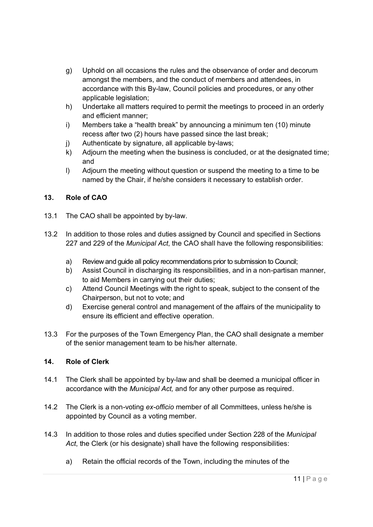- g) Uphold on all occasions the rules and the observance of order and decorum amongst the members, and the conduct of members and attendees, in accordance with this By-law, Council policies and procedures, or any other applicable legislation;
- h) Undertake all matters required to permit the meetings to proceed in an orderly and efficient manner;
- i) Members take a "health break" by announcing a minimum ten (10) minute recess after two (2) hours have passed since the last break;
- j) Authenticate by signature, all applicable by-laws;
- k) Adjourn the meeting when the business is concluded, or at the designated time; and
- l) Adjourn the meeting without question or suspend the meeting to a time to be named by the Chair, if he/she considers it necessary to establish order.

# **13. Role of CAO**

- 13.1 The CAO shall be appointed by by-law.
- 13.2 In addition to those roles and duties assigned by Council and specified in Sections 227 and 229 of the *Municipal Act*, the CAO shall have the following responsibilities:
	- a) Review and guide all policy recommendations prior to submission to Council;
	- b) Assist Council in discharging its responsibilities, and in a non-partisan manner, to aid Members in carrying out their duties;
	- c) Attend Council Meetings with the right to speak, subject to the consent of the Chairperson, but not to vote; and
	- d) Exercise general control and management of the affairs of the municipality to ensure its efficient and effective operation.
- 13.3 For the purposes of the Town Emergency Plan, the CAO shall designate a member of the senior management team to be his/her alternate.

# **14. Role of Clerk**

- 14.1 The Clerk shall be appointed by by-law and shall be deemed a municipal officer in accordance with the *Municipal Act,* and for any other purpose as required.
- 14.2 The Clerk is a non-voting *ex-officio* member of all Committees, unless he/she is appointed by Council as a voting member.
- 14.3 In addition to those roles and duties specified under Section 228 of the *Municipal Act*, the Clerk (or his designate) shall have the following responsibilities:
	- a) Retain the official records of the Town, including the minutes of the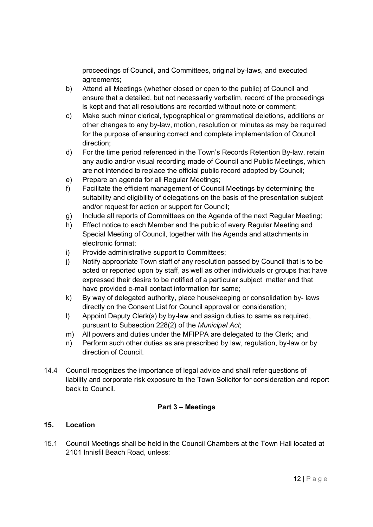proceedings of Council, and Committees, original by-laws, and executed agreements;

- b) Attend all Meetings (whether closed or open to the public) of Council and ensure that a detailed, but not necessarily verbatim, record of the proceedings is kept and that all resolutions are recorded without note or comment;
- c) Make such minor clerical, typographical or grammatical deletions, additions or other changes to any by-law, motion, resolution or minutes as may be required for the purpose of ensuring correct and complete implementation of Council direction;
- d) For the time period referenced in the Town's Records Retention By-law, retain any audio and/or visual recording made of Council and Public Meetings, which are not intended to replace the official public record adopted by Council;
- e) Prepare an agenda for all Regular Meetings;
- f) Facilitate the efficient management of Council Meetings by determining the suitability and eligibility of delegations on the basis of the presentation subject and/or request for action or support for Council;
- g) Include all reports of Committees on the Agenda of the next Regular Meeting;
- h) Effect notice to each Member and the public of every Regular Meeting and Special Meeting of Council, together with the Agenda and attachments in electronic format;
- i) Provide administrative support to Committees;
- j) Notify appropriate Town staff of any resolution passed by Council that is to be acted or reported upon by staff, as well as other individuals or groups that have expressed their desire to be notified of a particular subject matter and that have provided e-mail contact information for same;
- k) By way of delegated authority, place housekeeping or consolidation by- laws directly on the Consent List for Council approval or consideration;
- l) Appoint Deputy Clerk(s) by by-law and assign duties to same as required, pursuant to Subsection 228(2) of the *Municipal Act*;
- m) All powers and duties under the MFIPPA are delegated to the Clerk; and
- n) Perform such other duties as are prescribed by law, regulation, by-law or by direction of Council.
- 14.4 Council recognizes the importance of legal advice and shall refer questions of liability and corporate risk exposure to the Town Solicitor for consideration and report back to Council.

# **Part 3 – Meetings**

# **15. Location**

15.1 Council Meetings shall be held in the Council Chambers at the Town Hall located at 2101 Innisfil Beach Road, unless: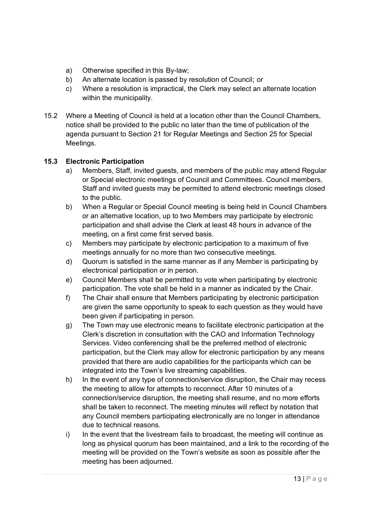- a) Otherwise specified in this By-law;
- b) An alternate location is passed by resolution of Council; or
- c) Where a resolution is impractical, the Clerk may select an alternate location within the municipality.
- 15.2 Where a Meeting of Council is held at a location other than the Council Chambers, notice shall be provided to the public no later than the time of publication of the agenda pursuant to Section 21 for Regular Meetings and Section 25 for Special Meetings.

# **15.3 Electronic Participation**

- a) Members, Staff, invited guests, and members of the public may attend Regular or Special electronic meetings of Council and Committees. Council members, Staff and invited guests may be permitted to attend electronic meetings closed to the public.
- b) When a Regular or Special Council meeting is being held in Council Chambers or an alternative location, up to two Members may participate by electronic participation and shall advise the Clerk at least 48 hours in advance of the meeting, on a first come first served basis.
- c) Members may participate by electronic participation to a maximum of five meetings annually for no more than two consecutive meetings.
- d) Quorum is satisfied in the same manner as if any Member is participating by electronical participation or in person.
- e) Council Members shall be permitted to vote when participating by electronic participation. The vote shall be held in a manner as indicated by the Chair.
- f) The Chair shall ensure that Members participating by electronic participation are given the same opportunity to speak to each question as they would have been given if participating in person.
- g) The Town may use electronic means to facilitate electronic participation at the Clerk's discretion in consultation with the CAO and Information Technology Services. Video conferencing shall be the preferred method of electronic participation, but the Clerk may allow for electronic participation by any means provided that there are audio capabilities for the participants which can be integrated into the Town's live streaming capabilities.
- h) In the event of any type of connection/service disruption, the Chair may recess the meeting to allow for attempts to reconnect. After 10 minutes of a connection/service disruption, the meeting shall resume, and no more efforts shall be taken to reconnect. The meeting minutes will reflect by notation that any Council members participating electronically are no longer in attendance due to technical reasons.
- i) In the event that the livestream fails to broadcast, the meeting will continue as long as physical quorum has been maintained, and a link to the recording of the meeting will be provided on the Town's website as soon as possible after the meeting has been adjourned.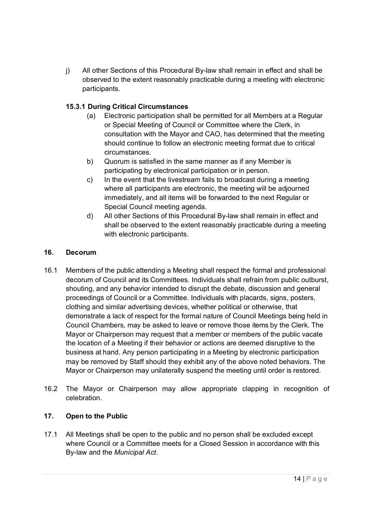j) All other Sections of this Procedural By-law shall remain in effect and shall be observed to the extent reasonably practicable during a meeting with electronic participants.

# **15.3.1 During Critical Circumstances**

- (a) Electronic participation shall be permitted for all Members at a Regular or Special Meeting of Council or Committee where the Clerk, in consultation with the Mayor and CAO, has determined that the meeting should continue to follow an electronic meeting format due to critical circumstances.
- b) Quorum is satisfied in the same manner as if any Member is participating by electronical participation or in person.
- c) In the event that the livestream fails to broadcast during a meeting where all participants are electronic, the meeting will be adjourned immediately, and all items will be forwarded to the next Regular or Special Council meeting agenda.
- d) All other Sections of this Procedural By-law shall remain in effect and shall be observed to the extent reasonably practicable during a meeting with electronic participants.

# **16. Decorum**

- 16.1 Members of the public attending a Meeting shall respect the formal and professional decorum of Council and its Committees. Individuals shall refrain from public outburst, shouting, and any behavior intended to disrupt the debate, discussion and general proceedings of Council or a Committee. Individuals with placards, signs, posters, clothing and similar advertising devices, whether political or otherwise, that demonstrate a lack of respect for the formal nature of Council Meetings being held in Council Chambers, may be asked to leave or remove those items by the Clerk. The Mayor or Chairperson may request that a member or members of the public vacate the location of a Meeting if their behavior or actions are deemed disruptive to the business at hand. Any person participating in a Meeting by electronic participation may be removed by Staff should they exhibit any of the above noted behaviors. The Mayor or Chairperson may unilaterally suspend the meeting until order is restored.
- 16.2 The Mayor or Chairperson may allow appropriate clapping in recognition of celebration.

# **17. Open to the Public**

17.1 All Meetings shall be open to the public and no person shall be excluded except where Council or a Committee meets for a Closed Session in accordance with this By-law and the *Municipal Act*.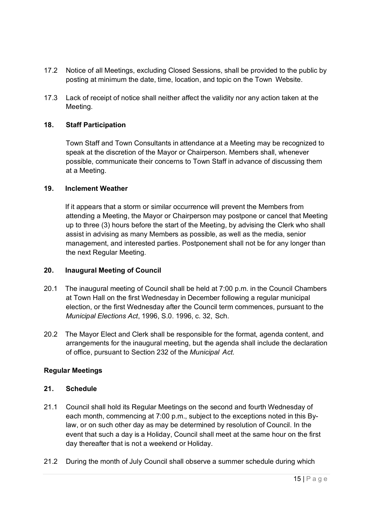- 17.2 Notice of all Meetings, excluding Closed Sessions, shall be provided to the public by posting at minimum the date, time, location, and topic on the Town Website.
- 17.3 Lack of receipt of notice shall neither affect the validity nor any action taken at the Meeting.

### **18. Staff Participation**

Town Staff and Town Consultants in attendance at a Meeting may be recognized to speak at the discretion of the Mayor or Chairperson. Members shall, whenever possible, communicate their concerns to Town Staff in advance of discussing them at a Meeting.

#### **19. Inclement Weather**

If it appears that a storm or similar occurrence will prevent the Members from attending a Meeting, the Mayor or Chairperson may postpone or cancel that Meeting up to three (3) hours before the start of the Meeting, by advising the Clerk who shall assist in advising as many Members as possible, as well as the media, senior management, and interested parties. Postponement shall not be for any longer than the next Regular Meeting.

#### **20. Inaugural Meeting of Council**

- 20.1 The inaugural meeting of Council shall be held at 7:00 p.m. in the Council Chambers at Town Hall on the first Wednesday in December following a regular municipal election, or the first Wednesday after the Council term commences, pursuant to the *Municipal Elections Act*, 1996, S.0. 1996, c. 32, Sch.
- 20.2 The Mayor Elect and Clerk shall be responsible for the format, agenda content, and arrangements for the inaugural meeting, but the agenda shall include the declaration of office, pursuant to Section 232 of the *Municipal Act*.

# **Regular Meetings**

#### **21. Schedule**

- 21.1 Council shall hold its Regular Meetings on the second and fourth Wednesday of each month, commencing at 7:00 p.m., subject to the exceptions noted in this Bylaw, or on such other day as may be determined by resolution of Council. In the event that such a day is a Holiday, Council shall meet at the same hour on the first day thereafter that is not a weekend or Holiday.
- 21.2 During the month of July Council shall observe a summer schedule during which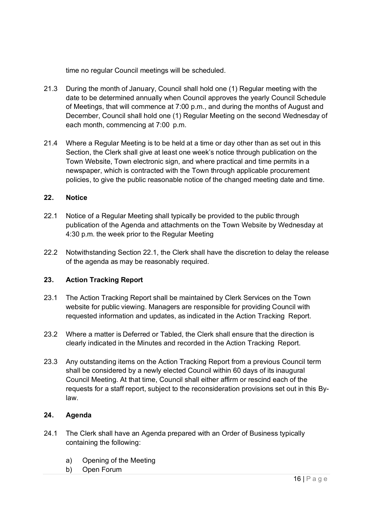time no regular Council meetings will be scheduled.

- 21.3 During the month of January, Council shall hold one (1) Regular meeting with the date to be determined annually when Council approves the yearly Council Schedule of Meetings, that will commence at 7:00 p.m., and during the months of August and December, Council shall hold one (1) Regular Meeting on the second Wednesday of each month, commencing at 7:00 p.m.
- 21.4 Where a Regular Meeting is to be held at a time or day other than as set out in this Section, the Clerk shall give at least one week's notice through publication on the Town Website, Town electronic sign, and where practical and time permits in a newspaper, which is contracted with the Town through applicable procurement policies, to give the public reasonable notice of the changed meeting date and time.

#### **22. Notice**

- 22.1 Notice of a Regular Meeting shall typically be provided to the public through publication of the Agenda and attachments on the Town Website by Wednesday at 4:30 p.m. the week prior to the Regular Meeting
- 22.2 Notwithstanding Section 22.1, the Clerk shall have the discretion to delay the release of the agenda as may be reasonably required.

#### **23. Action Tracking Report**

- 23.1 The Action Tracking Report shall be maintained by Clerk Services on the Town website for public viewing. Managers are responsible for providing Council with requested information and updates, as indicated in the Action Tracking Report.
- 23.2 Where a matter is Deferred or Tabled, the Clerk shall ensure that the direction is clearly indicated in the Minutes and recorded in the Action Tracking Report.
- 23.3 Any outstanding items on the Action Tracking Report from a previous Council term shall be considered by a newly elected Council within 60 days of its inaugural Council Meeting. At that time, Council shall either affirm or rescind each of the requests for a staff report, subject to the reconsideration provisions set out in this Bylaw.

#### **24. Agenda**

- 24.1 The Clerk shall have an Agenda prepared with an Order of Business typically containing the following:
	- a) Opening of the Meeting
	- b) Open Forum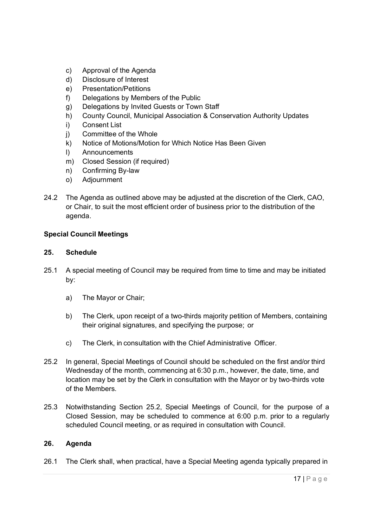- c) Approval of the Agenda
- d) Disclosure of Interest
- e) Presentation/Petitions
- f) Delegations by Members of the Public
- g) Delegations by Invited Guests or Town Staff
- h) County Council, Municipal Association & Conservation Authority Updates
- i) Consent List
- j) Committee of the Whole
- k) Notice of Motions/Motion for Which Notice Has Been Given
- l) Announcements
- m) Closed Session (if required)
- n) Confirming By-law
- o) Adjournment
- 24.2 The Agenda as outlined above may be adjusted at the discretion of the Clerk, CAO, or Chair, to suit the most efficient order of business prior to the distribution of the agenda.

# **Special Council Meetings**

#### **25. Schedule**

- 25.1 A special meeting of Council may be required from time to time and may be initiated by:
	- a) The Mayor or Chair;
	- b) The Clerk, upon receipt of a two-thirds majority petition of Members, containing their original signatures, and specifying the purpose; or
	- c) The Clerk, in consultation with the Chief Administrative Officer.
- 25.2 In general, Special Meetings of Council should be scheduled on the first and/or third Wednesday of the month, commencing at 6:30 p.m., however, the date, time, and location may be set by the Clerk in consultation with the Mayor or by two-thirds vote of the Members.
- 25.3 Notwithstanding Section 25.2, Special Meetings of Council, for the purpose of a Closed Session, may be scheduled to commence at 6:00 p.m. prior to a regularly scheduled Council meeting, or as required in consultation with Council.

# **26. Agenda**

26.1 The Clerk shall, when practical, have a Special Meeting agenda typically prepared in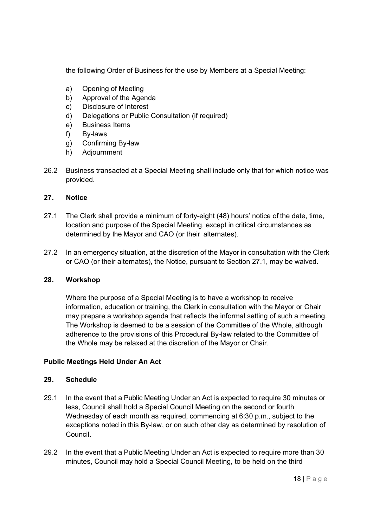the following Order of Business for the use by Members at a Special Meeting:

- a) Opening of Meeting
- b) Approval of the Agenda
- c) Disclosure of Interest
- d) Delegations or Public Consultation (if required)
- e) Business Items
- f) By-laws
- g) Confirming By-law
- h) Adjournment
- 26.2 Business transacted at a Special Meeting shall include only that for which notice was provided.

# **27. Notice**

- 27.1 The Clerk shall provide a minimum of forty-eight (48) hours' notice of the date, time, location and purpose of the Special Meeting, except in critical circumstances as determined by the Mayor and CAO (or their alternates).
- 27.2 In an emergency situation, at the discretion of the Mayor in consultation with the Clerk or CAO (or their alternates), the Notice, pursuant to Section 27.1, may be waived.

#### **28. Workshop**

Where the purpose of a Special Meeting is to have a workshop to receive information, education or training, the Clerk in consultation with the Mayor or Chair may prepare a workshop agenda that reflects the informal setting of such a meeting. The Workshop is deemed to be a session of the Committee of the Whole, although adherence to the provisions of this Procedural By-law related to the Committee of the Whole may be relaxed at the discretion of the Mayor or Chair.

# **Public Meetings Held Under An Act**

#### **29. Schedule**

- 29.1 In the event that a Public Meeting Under an Act is expected to require 30 minutes or less, Council shall hold a Special Council Meeting on the second or fourth Wednesday of each month as required, commencing at 6:30 p.m., subject to the exceptions noted in this By-law, or on such other day as determined by resolution of Council.
- 29.2 In the event that a Public Meeting Under an Act is expected to require more than 30 minutes, Council may hold a Special Council Meeting, to be held on the third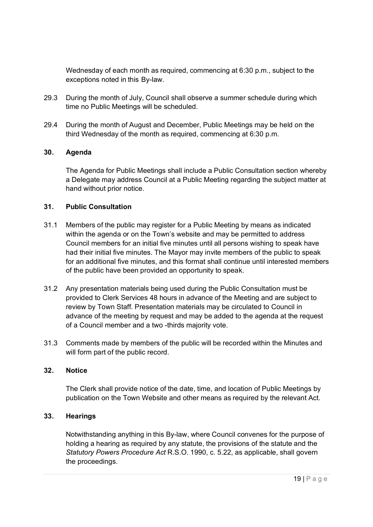Wednesday of each month as required, commencing at 6:30 p.m., subject to the exceptions noted in this By-law.

- 29.3 During the month of July, Council shall observe a summer schedule during which time no Public Meetings will be scheduled.
- 29.4 During the month of August and December, Public Meetings may be held on the third Wednesday of the month as required, commencing at 6:30 p.m.

#### **30. Agenda**

The Agenda for Public Meetings shall include a Public Consultation section whereby a Delegate may address Council at a Public Meeting regarding the subject matter at hand without prior notice.

#### **31. Public Consultation**

- 31.1 Members of the public may register for a Public Meeting by means as indicated within the agenda or on the Town's website and may be permitted to address Council members for an initial five minutes until all persons wishing to speak have had their initial five minutes. The Mayor may invite members of the public to speak for an additional five minutes, and this format shall continue until interested members of the public have been provided an opportunity to speak.
- 31.2 Any presentation materials being used during the Public Consultation must be provided to Clerk Services 48 hours in advance of the Meeting and are subject to review by Town Staff. Presentation materials may be circulated to Council in advance of the meeting by request and may be added to the agenda at the request of a Council member and a two -thirds majority vote.
- 31.3 Comments made by members of the public will be recorded within the Minutes and will form part of the public record.

#### **32. Notice**

The Clerk shall provide notice of the date, time, and location of Public Meetings by publication on the Town Website and other means as required by the relevant Act.

#### **33. Hearings**

Notwithstanding anything in this By-law, where Council convenes for the purpose of holding a hearing as required by any statute, the provisions of the statute and the *Statutory Powers Procedure Act* R.S.O. 1990, c. 5.22, as applicable, shall govern the proceedings.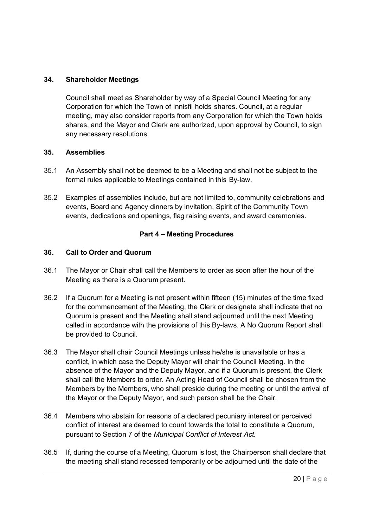# **34. Shareholder Meetings**

Council shall meet as Shareholder by way of a Special Council Meeting for any Corporation for which the Town of Innisfil holds shares. Council, at a regular meeting, may also consider reports from any Corporation for which the Town holds shares, and the Mayor and Clerk are authorized, upon approval by Council, to sign any necessary resolutions.

# **35. Assemblies**

- 35.1 An Assembly shall not be deemed to be a Meeting and shall not be subject to the formal rules applicable to Meetings contained in this By-law.
- 35.2 Examples of assemblies include, but are not limited to, community celebrations and events, Board and Agency dinners by invitation, Spirit of the Community Town events, dedications and openings, flag raising events, and award ceremonies.

# **Part 4 – Meeting Procedures**

# **36. Call to Order and Quorum**

- 36.1 The Mayor or Chair shall call the Members to order as soon after the hour of the Meeting as there is a Quorum present.
- 36.2 If a Quorum for a Meeting is not present within fifteen (15) minutes of the time fixed for the commencement of the Meeting, the Clerk or designate shall indicate that no Quorum is present and the Meeting shall stand adjourned until the next Meeting called in accordance with the provisions of this By-laws. A No Quorum Report shall be provided to Council.
- 36.3 The Mayor shall chair Council Meetings unless he/she is unavailable or has a conflict, in which case the Deputy Mayor will chair the Council Meeting. In the absence of the Mayor and the Deputy Mayor, and if a Quorum is present, the Clerk shall call the Members to order. An Acting Head of Council shall be chosen from the Members by the Members, who shall preside during the meeting or until the arrival of the Mayor or the Deputy Mayor, and such person shall be the Chair.
- 36.4 Members who abstain for reasons of a declared pecuniary interest or perceived conflict of interest are deemed to count towards the total to constitute a Quorum, pursuant to Section 7 of the *Municipal Conflict of Interest Act.*
- 36.5 If, during the course of a Meeting, Quorum is lost, the Chairperson shall declare that the meeting shall stand recessed temporarily or be adjourned until the date of the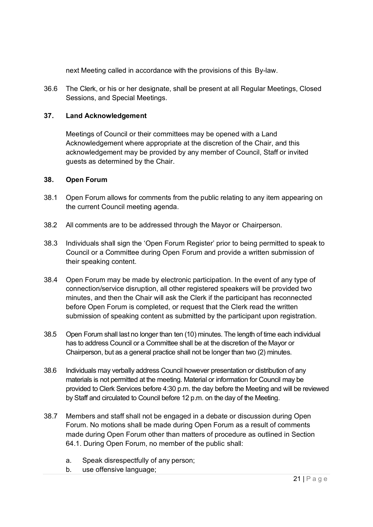next Meeting called in accordance with the provisions of this By-law.

36.6 The Clerk, or his or her designate, shall be present at all Regular Meetings, Closed Sessions, and Special Meetings.

# **37. Land Acknowledgement**

Meetings of Council or their committees may be opened with a Land Acknowledgement where appropriate at the discretion of the Chair, and this acknowledgement may be provided by any member of Council, Staff or invited guests as determined by the Chair.

#### **38. Open Forum**

- 38.1 Open Forum allows for comments from the public relating to any item appearing on the current Council meeting agenda.
- 38.2 All comments are to be addressed through the Mayor or Chairperson.
- 38.3 Individuals shall sign the 'Open Forum Register' prior to being permitted to speak to Council or a Committee during Open Forum and provide a written submission of their speaking content.
- 38.4 Open Forum may be made by electronic participation. In the event of any type of connection/service disruption, all other registered speakers will be provided two minutes, and then the Chair will ask the Clerk if the participant has reconnected before Open Forum is completed, or request that the Clerk read the written submission of speaking content as submitted by the participant upon registration.
- 38.5 Open Forum shall last no longer than ten (10) minutes. The length of time each individual has to address Council or a Committee shall be at the discretion of the Mayor or Chairperson, but as a general practice shall not be longer than two (2) minutes.
- 38.6 Individuals may verbally address Council however presentation or distribution of any materials is not permitted at the meeting. Material or information for Council may be provided to Clerk Services before 4:30 p.m. the day before the Meeting and will be reviewed by Staff and circulated to Council before 12 p.m. on the day of the Meeting.
- 38.7 Members and staff shall not be engaged in a debate or discussion during Open Forum. No motions shall be made during Open Forum as a result of comments made during Open Forum other than matters of procedure as outlined in Section 64.1. During Open Forum, no member of the public shall:
	- a. Speak disrespectfully of any person;
	- b. use offensive language;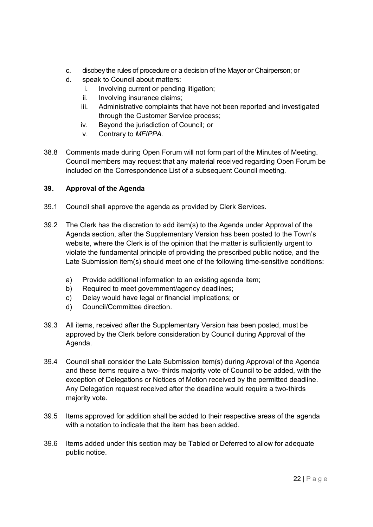- c. disobey the rules of procedure or a decision of the Mayor or Chairperson; or
- d. speak to Council about matters:
	- i. Involving current or pending litigation;
	- ii. Involving insurance claims;
	- iii. Administrative complaints that have not been reported and investigated through the Customer Service process;
	- iv. Beyond the jurisdiction of Council; or
	- v. Contrary to *MFIPPA*.
- 38.8 Comments made during Open Forum will not form part of the Minutes of Meeting. Council members may request that any material received regarding Open Forum be included on the Correspondence List of a subsequent Council meeting.

# **39. Approval of the Agenda**

- 39.1 Council shall approve the agenda as provided by Clerk Services.
- 39.2 The Clerk has the discretion to add item(s) to the Agenda under Approval of the Agenda section, after the Supplementary Version has been posted to the Town's website, where the Clerk is of the opinion that the matter is sufficiently urgent to violate the fundamental principle of providing the prescribed public notice, and the Late Submission item(s) should meet one of the following time-sensitive conditions:
	- a) Provide additional information to an existing agenda item;
	- b) Required to meet government/agency deadlines;
	- c) Delay would have legal or financial implications; or
	- d) Council/Committee direction.
- 39.3 All items, received after the Supplementary Version has been posted, must be approved by the Clerk before consideration by Council during Approval of the Agenda.
- 39.4 Council shall consider the Late Submission item(s) during Approval of the Agenda and these items require a two- thirds majority vote of Council to be added, with the exception of Delegations or Notices of Motion received by the permitted deadline. Any Delegation request received after the deadline would require a two-thirds majority vote.
- 39.5 Items approved for addition shall be added to their respective areas of the agenda with a notation to indicate that the item has been added.
- 39.6 Items added under this section may be Tabled or Deferred to allow for adequate public notice.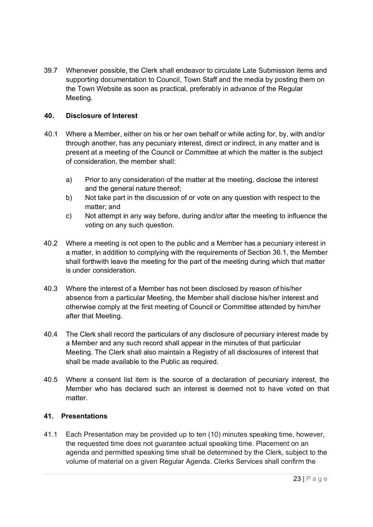39.7 Whenever possible, the Clerk shall endeavor to circulate Late Submission items and supporting documentation to Council, Town Staff and the media by posting them on the Town Website as soon as practical, preferably in advance of the Regular Meeting.

# **40. Disclosure of Interest**

- 40.1 Where a Member, either on his or her own behalf or while acting for, by, with and/or through another, has any pecuniary interest, direct or indirect, in any matter and is present at a meeting of the Council or Committee at which the matter is the subject of consideration, the member shall:
	- a) Prior to any consideration of the matter at the meeting, disclose the interest and the general nature thereof;
	- b) Not take part in the discussion of or vote on any question with respect to the matter; and
	- c) Not attempt in any way before, during and/or after the meeting to influence the voting on any such question.
- 40.2 Where a meeting is not open to the public and a Member has a pecuniary interest in a matter, in addition to complying with the requirements of Section 36.1, the Member shall forthwith leave the meeting for the part of the meeting during which that matter is under consideration.
- 40.3 Where the interest of a Member has not been disclosed by reason of his/her absence from a particular Meeting, the Member shall disclose his/her interest and otherwise comply at the first meeting of Council or Committee attended by him/her after that Meeting.
- 40.4 The Clerk shall record the particulars of any disclosure of pecuniary interest made by a Member and any such record shall appear in the minutes of that particular Meeting. The Clerk shall also maintain a Registry of all disclosures of interest that shall be made available to the Public as required.
- 40.5 Where a consent list item is the source of a declaration of pecuniary interest, the Member who has declared such an interest is deemed not to have voted on that matter.

# **41. Presentations**

41.1 Each Presentation may be provided up to ten (10) minutes speaking time, however, the requested time does not guarantee actual speaking time. Placement on an agenda and permitted speaking time shall be determined by the Clerk, subject to the volume of material on a given Regular Agenda. Clerks Services shall confirm the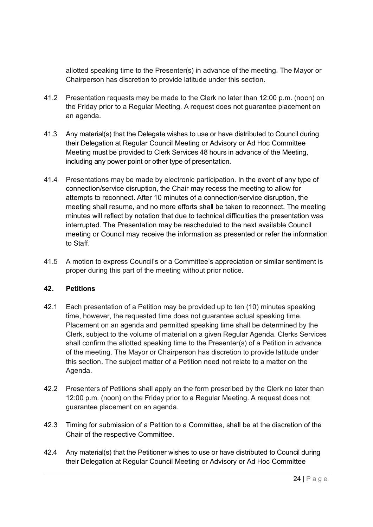allotted speaking time to the Presenter(s) in advance of the meeting. The Mayor or Chairperson has discretion to provide latitude under this section.

- 41.2 Presentation requests may be made to the Clerk no later than 12:00 p.m. (noon) on the Friday prior to a Regular Meeting. A request does not guarantee placement on an agenda.
- 41.3 Any material(s) that the Delegate wishes to use or have distributed to Council during their Delegation at Regular Council Meeting or Advisory or Ad Hoc Committee Meeting must be provided to Clerk Services 48 hours in advance of the Meeting, including any power point or other type of presentation.
- 41.4 Presentations may be made by electronic participation. In the event of any type of connection/service disruption, the Chair may recess the meeting to allow for attempts to reconnect. After 10 minutes of a connection/service disruption, the meeting shall resume, and no more efforts shall be taken to reconnect. The meeting minutes will reflect by notation that due to technical difficulties the presentation was interrupted. The Presentation may be rescheduled to the next available Council meeting or Council may receive the information as presented or refer the information to Staff.
- 41.5 A motion to express Council's or a Committee's appreciation or similar sentiment is proper during this part of the meeting without prior notice.

# **42. Petitions**

- 42.1 Each presentation of a Petition may be provided up to ten (10) minutes speaking time, however, the requested time does not guarantee actual speaking time. Placement on an agenda and permitted speaking time shall be determined by the Clerk, subject to the volume of material on a given Regular Agenda. Clerks Services shall confirm the allotted speaking time to the Presenter(s) of a Petition in advance of the meeting. The Mayor or Chairperson has discretion to provide latitude under this section. The subject matter of a Petition need not relate to a matter on the Agenda.
- 42.2 Presenters of Petitions shall apply on the form prescribed by the Clerk no later than 12:00 p.m. (noon) on the Friday prior to a Regular Meeting. A request does not guarantee placement on an agenda.
- 42.3 Timing for submission of a Petition to a Committee, shall be at the discretion of the Chair of the respective Committee.
- 42.4 Any material(s) that the Petitioner wishes to use or have distributed to Council during their Delegation at Regular Council Meeting or Advisory or Ad Hoc Committee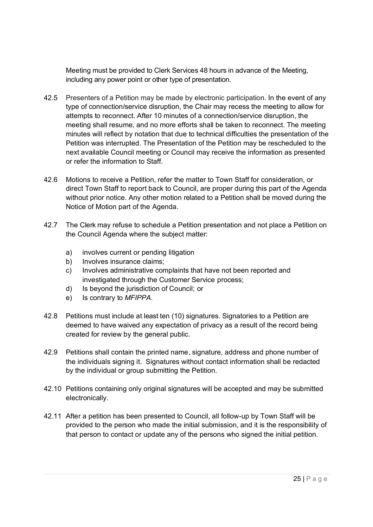Meeting must be provided to Clerk Services 48 hours in advance of the Meeting, including any power point or other type of presentation.

- 42.5 Presenters of a Petition may be made by electronic participation. In the event of any type of connection/service disruption, the Chair may recess the meeting to allow for attempts to reconnect. After 10 minutes of a connection/service disruption, the meeting shall resume, and no more efforts shall be taken to reconnect. The meeting minutes will reflect by notation that due to technical difficulties the presentation of the Petition was interrupted. The Presentation of the Petition may be rescheduled to the next available Council meeting or Council may receive the information as presented or refer the information to Staff.
- 42.6 Motions to receive a Petition, refer the matter to Town Staff for consideration, or direct Town Staff to report back to Council, are proper during this part of the Agenda without prior notice. Any other motion related to a Petition shall be moved during the Notice of Motion part of the Agenda.
- 42.7 The Clerk may refuse to schedule a Petition presentation and not place a Petition on the Council Agenda where the subject matter:
	- a) involves current or pending litigation
	- b) Involves insurance claims;
	- c) Involves administrative complaints that have not been reported and investigated through the Customer Service process;
	- d) Is beyond the jurisdiction of Council; or
	- e) Is contrary to *MFIPPA.*
- 42.8 Petitions must include at least ten (10) signatures. Signatories to a Petition are deemed to have waived any expectation of privacy as a result of the record being created for review by the general public.
- 42.9 Petitions shall contain the printed name, signature, address and phone number of the individuals signing it. Signatures without contact information shall be redacted by the individual or group submitting the Petition.
- 42.10 Petitions containing only original signatures will be accepted and may be submitted electronically.
- 42.11 After a petition has been presented to Council, all follow-up by Town Staff will be provided to the person who made the initial submission, and it is the responsibility of that person to contact or update any of the persons who signed the initial petition.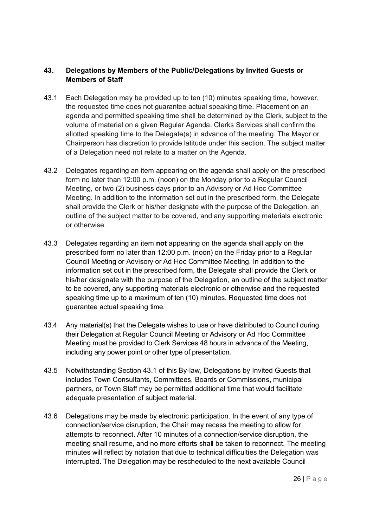# **43. Delegations by Members of the Public/Delegations by Invited Guests or Members of Staff**

- 43.1 Each Delegation may be provided up to ten (10) minutes speaking time, however, the requested time does not guarantee actual speaking time. Placement on an agenda and permitted speaking time shall be determined by the Clerk, subject to the volume of material on a given Regular Agenda. Clerks Services shall confirm the allotted speaking time to the Delegate(s) in advance of the meeting. The Mayor or Chairperson has discretion to provide latitude under this section. The subject matter of a Delegation need not relate to a matter on the Agenda.
- 43.2 Delegates regarding an item appearing on the agenda shall apply on the prescribed form no later than 12:00 p.m. (noon) on the Monday prior to a Regular Council Meeting, or two (2) business days prior to an Advisory or Ad Hoc Committee Meeting. In addition to the information set out in the prescribed form, the Delegate shall provide the Clerk or his/her designate with the purpose of the Delegation, an outline of the subject matter to be covered, and any supporting materials electronic or otherwise.
- 43.3 Delegates regarding an item **not** appearing on the agenda shall apply on the prescribed form no later than 12:00 p.m. (noon) on the Friday prior to a Regular Council Meeting or Advisory or Ad Hoc Committee Meeting. In addition to the information set out in the prescribed form, the Delegate shall provide the Clerk or his/her designate with the purpose of the Delegation, an outline of the subject matter to be covered, any supporting materials electronic or otherwise and the requested speaking time up to a maximum of ten (10) minutes. Requested time does not guarantee actual speaking time.
- 43.4 Any material(s) that the Delegate wishes to use or have distributed to Council during their Delegation at Regular Council Meeting or Advisory or Ad Hoc Committee Meeting must be provided to Clerk Services 48 hours in advance of the Meeting, including any power point or other type of presentation.
- 43.5 Notwithstanding Section 43.1 of this By-law, Delegations by Invited Guests that includes Town Consultants, Committees, Boards or Commissions, municipal partners, or Town Staff may be permitted additional time that would facilitate adequate presentation of subject material.
- 43.6 Delegations may be made by electronic participation. In the event of any type of connection/service disruption, the Chair may recess the meeting to allow for attempts to reconnect. After 10 minutes of a connection/service disruption, the meeting shall resume, and no more efforts shall be taken to reconnect. The meeting minutes will reflect by notation that due to technical difficulties the Delegation was interrupted. The Delegation may be rescheduled to the next available Council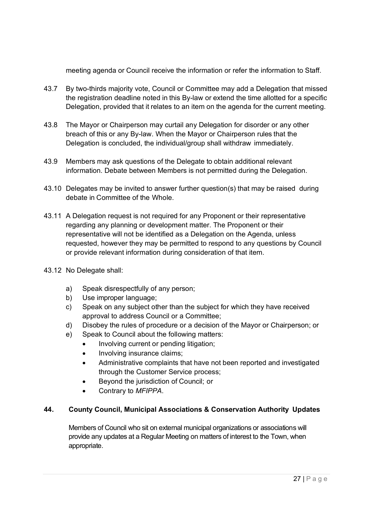meeting agenda or Council receive the information or refer the information to Staff.

- 43.7 By two-thirds majority vote, Council or Committee may add a Delegation that missed the registration deadline noted in this By-law or extend the time allotted for a specific Delegation, provided that it relates to an item on the agenda for the current meeting.
- 43.8 The Mayor or Chairperson may curtail any Delegation for disorder or any other breach of this or any By-law. When the Mayor or Chairperson rules that the Delegation is concluded, the individual/group shall withdraw immediately.
- 43.9 Members may ask questions of the Delegate to obtain additional relevant information. Debate between Members is not permitted during the Delegation.
- 43.10 Delegates may be invited to answer further question(s) that may be raised during debate in Committee of the Whole.
- 43.11 A Delegation request is not required for any Proponent or their representative regarding any planning or development matter. The Proponent or their representative will not be identified as a Delegation on the Agenda, unless requested, however they may be permitted to respond to any questions by Council or provide relevant information during consideration of that item.
- 43.12 No Delegate shall:
	- a) Speak disrespectfully of any person;
	- b) Use improper language;
	- c) Speak on any subject other than the subject for which they have received approval to address Council or a Committee;
	- d) Disobey the rules of procedure or a decision of the Mayor or Chairperson; or
	- e) Speak to Council about the following matters:
		- Involving current or pending litigation;
		- Involving insurance claims;
		- Administrative complaints that have not been reported and investigated through the Customer Service process;
		- Beyond the jurisdiction of Council; or
		- Contrary to *MFIPPA*.

# **44. County Council, Municipal Associations & Conservation Authority Updates**

Members of Council who sit on external municipal organizations or associations will provide any updates at a Regular Meeting on matters of interest to the Town, when appropriate.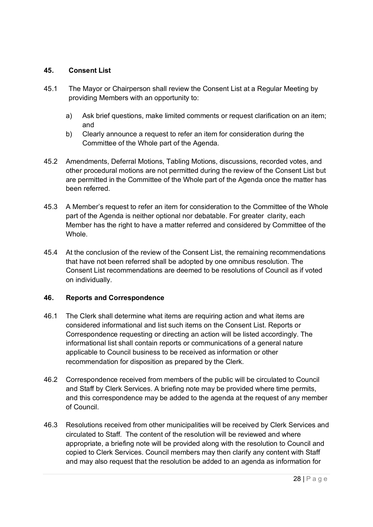# **45. Consent List**

- 45.1 The Mayor or Chairperson shall review the Consent List at a Regular Meeting by providing Members with an opportunity to:
	- a) Ask brief questions, make limited comments or request clarification on an item; and
	- b) Clearly announce a request to refer an item for consideration during the Committee of the Whole part of the Agenda.
- 45.2 Amendments, Deferral Motions, Tabling Motions, discussions, recorded votes, and other procedural motions are not permitted during the review of the Consent List but are permitted in the Committee of the Whole part of the Agenda once the matter has been referred.
- 45.3 A Member's request to refer an item for consideration to the Committee of the Whole part of the Agenda is neither optional nor debatable. For greater clarity, each Member has the right to have a matter referred and considered by Committee of the **Whole**
- 45.4 At the conclusion of the review of the Consent List, the remaining recommendations that have not been referred shall be adopted by one omnibus resolution. The Consent List recommendations are deemed to be resolutions of Council as if voted on individually.

#### **46. Reports and Correspondence**

- 46.1 The Clerk shall determine what items are requiring action and what items are considered informational and list such items on the Consent List. Reports or Correspondence requesting or directing an action will be listed accordingly. The informational list shall contain reports or communications of a general nature applicable to Council business to be received as information or other recommendation for disposition as prepared by the Clerk.
- 46.2 Correspondence received from members of the public will be circulated to Council and Staff by Clerk Services. A briefing note may be provided where time permits, and this correspondence may be added to the agenda at the request of any member of Council.
- 46.3 Resolutions received from other municipalities will be received by Clerk Services and circulated to Staff. The content of the resolution will be reviewed and where appropriate, a briefing note will be provided along with the resolution to Council and copied to Clerk Services. Council members may then clarify any content with Staff and may also request that the resolution be added to an agenda as information for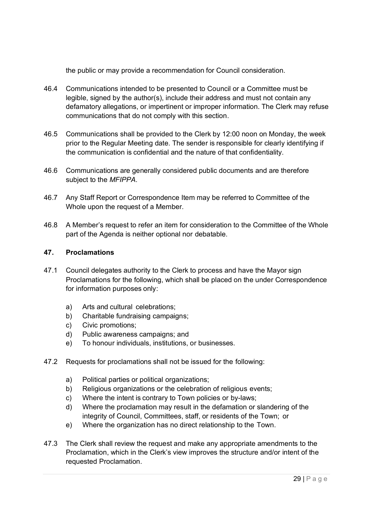the public or may provide a recommendation for Council consideration.

- 46.4 Communications intended to be presented to Council or a Committee must be legible, signed by the author(s), include their address and must not contain any defamatory allegations, or impertinent or improper information. The Clerk may refuse communications that do not comply with this section.
- 46.5 Communications shall be provided to the Clerk by 12:00 noon on Monday, the week prior to the Regular Meeting date. The sender is responsible for clearly identifying if the communication is confidential and the nature of that confidentiality.
- 46.6 Communications are generally considered public documents and are therefore subject to the *MFIPPA*.
- 46.7 Any Staff Report or Correspondence Item may be referred to Committee of the Whole upon the request of a Member.
- 46.8 A Member's request to refer an item for consideration to the Committee of the Whole part of the Agenda is neither optional nor debatable.

# **47. Proclamations**

- 47.1 Council delegates authority to the Clerk to process and have the Mayor sign Proclamations for the following, which shall be placed on the under Correspondence for information purposes only:
	- a) Arts and cultural celebrations;
	- b) Charitable fundraising campaigns;
	- c) Civic promotions;
	- d) Public awareness campaigns; and
	- e) To honour individuals, institutions, or businesses.
- 47.2 Requests for proclamations shall not be issued for the following:
	- a) Political parties or political organizations;
	- b) Religious organizations or the celebration of religious events;
	- c) Where the intent is contrary to Town policies or by-laws;
	- d) Where the proclamation may result in the defamation or slandering of the integrity of Council, Committees, staff, or residents of the Town; or
	- e) Where the organization has no direct relationship to the Town.
- 47.3 The Clerk shall review the request and make any appropriate amendments to the Proclamation, which in the Clerk's view improves the structure and/or intent of the requested Proclamation.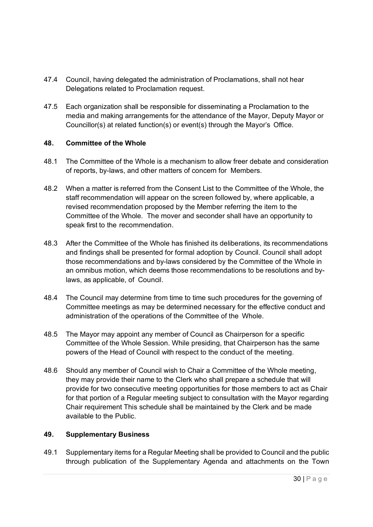- 47.4 Council, having delegated the administration of Proclamations, shall not hear Delegations related to Proclamation request.
- 47.5 Each organization shall be responsible for disseminating a Proclamation to the media and making arrangements for the attendance of the Mayor, Deputy Mayor or Councillor(s) at related function(s) or event(s) through the Mayor's Office.

# **48. Committee of the Whole**

- 48.1 The Committee of the Whole is a mechanism to allow freer debate and consideration of reports, by-laws, and other matters of concern for Members.
- 48.2 When a matter is referred from the Consent List to the Committee of the Whole, the staff recommendation will appear on the screen followed by, where applicable, a revised recommendation proposed by the Member referring the item to the Committee of the Whole. The mover and seconder shall have an opportunity to speak first to the recommendation.
- 48.3 After the Committee of the Whole has finished its deliberations, its recommendations and findings shall be presented for formal adoption by Council. Council shall adopt those recommendations and by-laws considered by the Committee of the Whole in an omnibus motion, which deems those recommendations to be resolutions and bylaws, as applicable, of Council.
- 48.4 The Council may determine from time to time such procedures for the governing of Committee meetings as may be determined necessary for the effective conduct and administration of the operations of the Committee of the Whole.
- 48.5 The Mayor may appoint any member of Council as Chairperson for a specific Committee of the Whole Session. While presiding, that Chairperson has the same powers of the Head of Council with respect to the conduct of the meeting.
- 48.6 Should any member of Council wish to Chair a Committee of the Whole meeting, they may provide their name to the Clerk who shall prepare a schedule that will provide for two consecutive meeting opportunities for those members to act as Chair for that portion of a Regular meeting subject to consultation with the Mayor regarding Chair requirement This schedule shall be maintained by the Clerk and be made available to the Public.

#### **49. Supplementary Business**

49.1 Supplementary items for a Regular Meeting shall be provided to Council and the public through publication of the Supplementary Agenda and attachments on the Town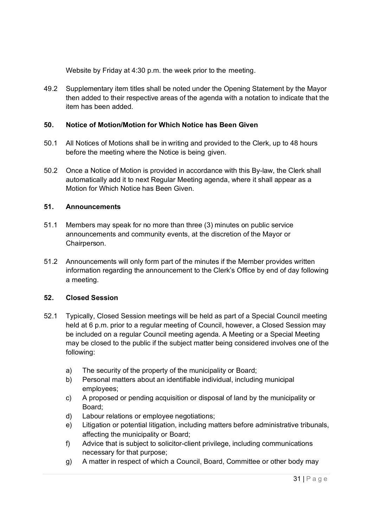Website by Friday at 4:30 p.m. the week prior to the meeting.

49.2 Supplementary item titles shall be noted under the Opening Statement by the Mayor then added to their respective areas of the agenda with a notation to indicate that the item has been added.

# **50. Notice of Motion/Motion for Which Notice has Been Given**

- 50.1 All Notices of Motions shall be in writing and provided to the Clerk, up to 48 hours before the meeting where the Notice is being given.
- 50.2 Once a Notice of Motion is provided in accordance with this By-law, the Clerk shall automatically add it to next Regular Meeting agenda, where it shall appear as a Motion for Which Notice has Been Given.

# **51. Announcements**

- 51.1 Members may speak for no more than three (3) minutes on public service announcements and community events, at the discretion of the Mayor or Chairperson.
- 51.2 Announcements will only form part of the minutes if the Member provides written information regarding the announcement to the Clerk's Office by end of day following a meeting.

# **52. Closed Session**

- 52.1 Typically, Closed Session meetings will be held as part of a Special Council meeting held at 6 p.m. prior to a regular meeting of Council, however, a Closed Session may be included on a regular Council meeting agenda. A Meeting or a Special Meeting may be closed to the public if the subject matter being considered involves one of the following:
	- a) The security of the property of the municipality or Board;
	- b) Personal matters about an identifiable individual, including municipal employees;
	- c) A proposed or pending acquisition or disposal of land by the municipality or Board;
	- d) Labour relations or employee negotiations;
	- e) Litigation or potential litigation, including matters before administrative tribunals, affecting the municipality or Board;
	- f) Advice that is subject to solicitor-client privilege, including communications necessary for that purpose;
	- g) A matter in respect of which a Council, Board, Committee or other body may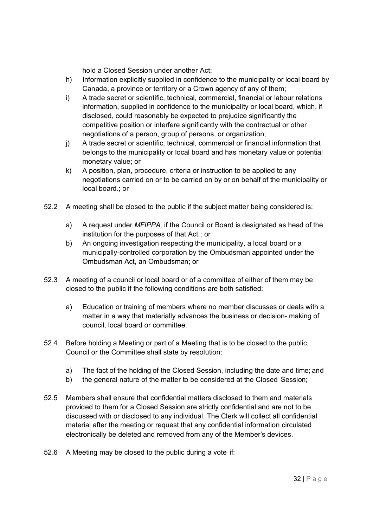hold a Closed Session under another Act;

- h) Information explicitly supplied in confidence to the municipality or local board by Canada, a province or territory or a Crown agency of any of them;
- i) A trade secret or scientific, technical, commercial, financial or labour relations information, supplied in confidence to the municipality or local board, which, if disclosed, could reasonably be expected to prejudice significantly the competitive position or interfere significantly with the contractual or other negotiations of a person, group of persons, or organization;
- j) A trade secret or scientific, technical, commercial or financial information that belongs to the municipality or local board and has monetary value or potential monetary value; or
- k) A position, plan, procedure, criteria or instruction to be applied to any negotiations carried on or to be carried on by or on behalf of the municipality or local board.; or
- 52.2 A meeting shall be closed to the public if the subject matter being considered is:
	- a) A request under *MFIPPA,* if the Council or Board is designated as head of the institution for the purposes of that Act.; or
	- b) An ongoing investigation respecting the municipality, a local board or a municipally-controlled corporation by the Ombudsman appointed under the Ombudsman Act, an Ombudsman; or
- 52.3 A meeting of a council or local board or of a committee of either of them may be closed to the public if the following conditions are both satisfied:
	- a) Education or training of members where no member discusses or deals with a matter in a way that materially advances the business or decision- making of council, local board or committee.
- 52.4 Before holding a Meeting or part of a Meeting that is to be closed to the public, Council or the Committee shall state by resolution:
	- a) The fact of the holding of the Closed Session, including the date and time; and
	- b) the general nature of the matter to be considered at the Closed Session;
- 52.5 Members shall ensure that confidential matters disclosed to them and materials provided to them for a Closed Session are strictly confidential and are not to be discussed with or disclosed to any individual. The Clerk will collect all confidential material after the meeting or request that any confidential information circulated electronically be deleted and removed from any of the Member's devices.
- 52.6 A Meeting may be closed to the public during a vote if: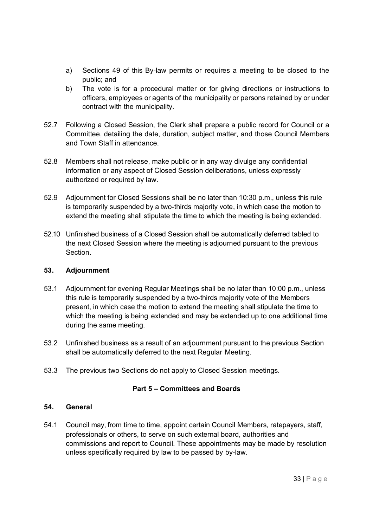- a) Sections 49 of this By-law permits or requires a meeting to be closed to the public; and
- b) The vote is for a procedural matter or for giving directions or instructions to officers, employees or agents of the municipality or persons retained by or under contract with the municipality.
- 52.7 Following a Closed Session, the Clerk shall prepare a public record for Council or a Committee, detailing the date, duration, subject matter, and those Council Members and Town Staff in attendance.
- 52.8 Members shall not release, make public or in any way divulge any confidential information or any aspect of Closed Session deliberations, unless expressly authorized or required by law.
- 52.9 Adjournment for Closed Sessions shall be no later than 10:30 p.m., unless this rule is temporarily suspended by a two-thirds majority vote, in which case the motion to extend the meeting shall stipulate the time to which the meeting is being extended.
- 52.10 Unfinished business of a Closed Session shall be automatically deferred tabled to the next Closed Session where the meeting is adjourned pursuant to the previous **Section**

# **53. Adjournment**

- 53.1 Adjournment for evening Regular Meetings shall be no later than 10:00 p.m., unless this rule is temporarily suspended by a two-thirds majority vote of the Members present, in which case the motion to extend the meeting shall stipulate the time to which the meeting is being extended and may be extended up to one additional time during the same meeting.
- 53.2 Unfinished business as a result of an adjournment pursuant to the previous Section shall be automatically deferred to the next Regular Meeting.
- 53.3 The previous two Sections do not apply to Closed Session meetings.

# **Part 5 – Committees and Boards**

# **54. General**

54.1 Council may, from time to time, appoint certain Council Members, ratepayers, staff, professionals or others, to serve on such external board, authorities and commissions and report to Council. These appointments may be made by resolution unless specifically required by law to be passed by by-law.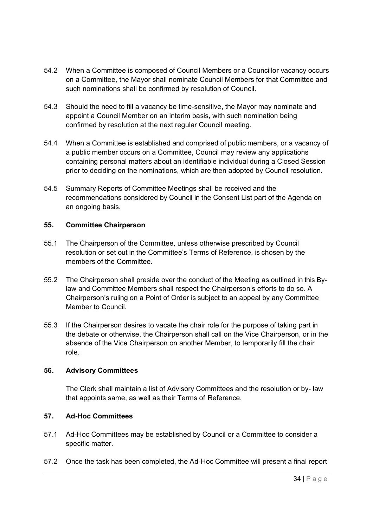- 54.2 When a Committee is composed of Council Members or a Councillor vacancy occurs on a Committee, the Mayor shall nominate Council Members for that Committee and such nominations shall be confirmed by resolution of Council.
- 54.3 Should the need to fill a vacancy be time-sensitive, the Mayor may nominate and appoint a Council Member on an interim basis, with such nomination being confirmed by resolution at the next regular Council meeting.
- 54.4 When a Committee is established and comprised of public members, or a vacancy of a public member occurs on a Committee, Council may review any applications containing personal matters about an identifiable individual during a Closed Session prior to deciding on the nominations, which are then adopted by Council resolution.
- 54.5 Summary Reports of Committee Meetings shall be received and the recommendations considered by Council in the Consent List part of the Agenda on an ongoing basis.

# **55. Committee Chairperson**

- 55.1 The Chairperson of the Committee, unless otherwise prescribed by Council resolution or set out in the Committee's Terms of Reference, is chosen by the members of the Committee.
- 55.2 The Chairperson shall preside over the conduct of the Meeting as outlined in this Bylaw and Committee Members shall respect the Chairperson's efforts to do so. A Chairperson's ruling on a Point of Order is subject to an appeal by any Committee Member to Council.
- 55.3 If the Chairperson desires to vacate the chair role for the purpose of taking part in the debate or otherwise, the Chairperson shall call on the Vice Chairperson, or in the absence of the Vice Chairperson on another Member, to temporarily fill the chair role.

#### **56. Advisory Committees**

The Clerk shall maintain a list of Advisory Committees and the resolution or by- law that appoints same, as well as their Terms of Reference.

#### **57. Ad-Hoc Committees**

- 57.1 Ad-Hoc Committees may be established by Council or a Committee to consider a specific matter.
- 57.2 Once the task has been completed, the Ad-Hoc Committee will present a final report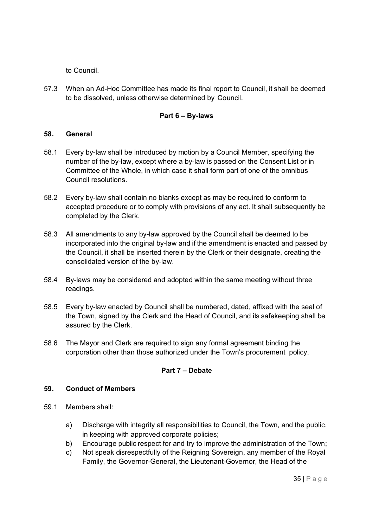to Council.

57.3 When an Ad-Hoc Committee has made its final report to Council, it shall be deemed to be dissolved, unless otherwise determined by Council.

### **Part 6 – By-laws**

#### **58. General**

- 58.1 Every by-law shall be introduced by motion by a Council Member, specifying the number of the by-law, except where a by-law is passed on the Consent List or in Committee of the Whole, in which case it shall form part of one of the omnibus Council resolutions.
- 58.2 Every by-law shall contain no blanks except as may be required to conform to accepted procedure or to comply with provisions of any act. It shall subsequently be completed by the Clerk.
- 58.3 All amendments to any by-law approved by the Council shall be deemed to be incorporated into the original by-law and if the amendment is enacted and passed by the Council, it shall be inserted therein by the Clerk or their designate, creating the consolidated version of the by-law.
- 58.4 By-laws may be considered and adopted within the same meeting without three readings.
- 58.5 Every by-law enacted by Council shall be numbered, dated, affixed with the seal of the Town, signed by the Clerk and the Head of Council, and its safekeeping shall be assured by the Clerk.
- 58.6 The Mayor and Clerk are required to sign any formal agreement binding the corporation other than those authorized under the Town's procurement policy.

# **Part 7 – Debate**

#### **59. Conduct of Members**

- 59.1 Members shall:
	- a) Discharge with integrity all responsibilities to Council, the Town, and the public, in keeping with approved corporate policies;
	- b) Encourage public respect for and try to improve the administration of the Town;
	- c) Not speak disrespectfully of the Reigning Sovereign, any member of the Royal Family, the Governor-General, the Lieutenant-Governor, the Head of the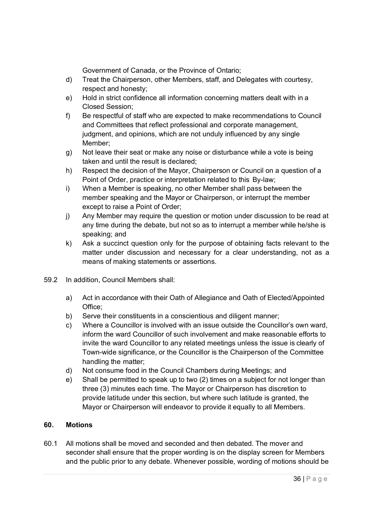Government of Canada, or the Province of Ontario;

- d) Treat the Chairperson, other Members, staff, and Delegates with courtesy, respect and honesty;
- e) Hold in strict confidence all information concerning matters dealt with in a Closed Session;
- f) Be respectful of staff who are expected to make recommendations to Council and Committees that reflect professional and corporate management, judgment, and opinions, which are not unduly influenced by any single Member;
- g) Not leave their seat or make any noise or disturbance while a vote is being taken and until the result is declared;
- h) Respect the decision of the Mayor, Chairperson or Council on a question of a Point of Order, practice or interpretation related to this By-law;
- i) When a Member is speaking, no other Member shall pass between the member speaking and the Mayor or Chairperson, or interrupt the member except to raise a Point of Order;
- j) Any Member may require the question or motion under discussion to be read at any time during the debate, but not so as to interrupt a member while he/she is speaking; and
- k) Ask a succinct question only for the purpose of obtaining facts relevant to the matter under discussion and necessary for a clear understanding, not as a means of making statements or assertions.
- 59.2 In addition, Council Members shall:
	- a) Act in accordance with their Oath of Allegiance and Oath of Elected/Appointed Office;
	- b) Serve their constituents in a conscientious and diligent manner;
	- c) Where a Councillor is involved with an issue outside the Councillor's own ward, inform the ward Councillor of such involvement and make reasonable efforts to invite the ward Councillor to any related meetings unless the issue is clearly of Town-wide significance, or the Councillor is the Chairperson of the Committee handling the matter;
	- d) Not consume food in the Council Chambers during Meetings; and
	- e) Shall be permitted to speak up to two (2) times on a subject for not longer than three (3) minutes each time. The Mayor or Chairperson has discretion to provide latitude under this section, but where such latitude is granted, the Mayor or Chairperson will endeavor to provide it equally to all Members.

# **60. Motions**

60.1 All motions shall be moved and seconded and then debated. The mover and seconder shall ensure that the proper wording is on the display screen for Members and the public prior to any debate. Whenever possible, wording of motions should be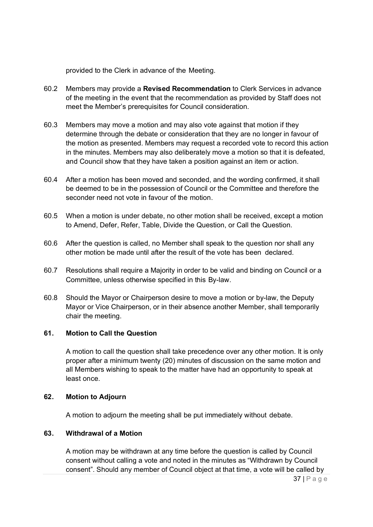provided to the Clerk in advance of the Meeting.

- 60.2 Members may provide a **Revised Recommendation** to Clerk Services in advance of the meeting in the event that the recommendation as provided by Staff does not meet the Member's prerequisites for Council consideration.
- 60.3 Members may move a motion and may also vote against that motion if they determine through the debate or consideration that they are no longer in favour of the motion as presented. Members may request a recorded vote to record this action in the minutes. Members may also deliberately move a motion so that it is defeated, and Council show that they have taken a position against an item or action.
- 60.4 After a motion has been moved and seconded, and the wording confirmed, it shall be deemed to be in the possession of Council or the Committee and therefore the seconder need not vote in favour of the motion.
- 60.5 When a motion is under debate, no other motion shall be received, except a motion to Amend, Defer, Refer, Table, Divide the Question, or Call the Question.
- 60.6 After the question is called, no Member shall speak to the question nor shall any other motion be made until after the result of the vote has been declared.
- 60.7 Resolutions shall require a Majority in order to be valid and binding on Council or a Committee, unless otherwise specified in this By-law.
- 60.8 Should the Mayor or Chairperson desire to move a motion or by-law, the Deputy Mayor or Vice Chairperson, or in their absence another Member, shall temporarily chair the meeting.

### **61. Motion to Call the Question**

A motion to call the question shall take precedence over any other motion. It is only proper after a minimum twenty (20) minutes of discussion on the same motion and all Members wishing to speak to the matter have had an opportunity to speak at least once.

#### **62. Motion to Adjourn**

A motion to adjourn the meeting shall be put immediately without debate.

# **63. Withdrawal of a Motion**

A motion may be withdrawn at any time before the question is called by Council consent without calling a vote and noted in the minutes as "Withdrawn by Council consent". Should any member of Council object at that time, a vote will be called by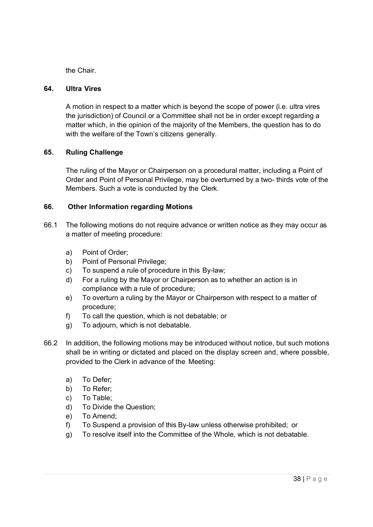the Chair.

### **64. Ultra Vires**

A motion in respect to a matter which is beyond the scope of power (i.e. ultra vires the jurisdiction) of Council or a Committee shall not be in order except regarding a matter which, in the opinion of the majority of the Members, the question has to do with the welfare of the Town's citizens generally.

# **65. Ruling Challenge**

The ruling of the Mayor or Chairperson on a procedural matter, including a Point of Order and Point of Personal Privilege, may be overturned by a two- thirds vote of the Members. Such a vote is conducted by the Clerk.

# **66. Other Information regarding Motions**

- 66.1 The following motions do not require advance or written notice as they may occur as a matter of meeting procedure:
	- a) Point of Order;
	- b) Point of Personal Privilege:
	- c) To suspend a rule of procedure in this By-law;
	- d) For a ruling by the Mayor or Chairperson as to whether an action is in compliance with a rule of procedure;
	- e) To overturn a ruling by the Mayor or Chairperson with respect to a matter of procedure;
	- f) To call the question, which is not debatable; or
	- g) To adjourn, which is not debatable.
- 66.2 In addition, the following motions may be introduced without notice, but such motions shall be in writing or dictated and placed on the display screen and, where possible, provided to the Clerk in advance of the Meeting:
	- a) To Defer;
	- b) To Refer;
	- c) To Table;
	- d) To Divide the Question;
	- e) To Amend;
	- f) To Suspend a provision of this By-law unless otherwise prohibited; or
	- g) To resolve itself into the Committee of the Whole, which is not debatable.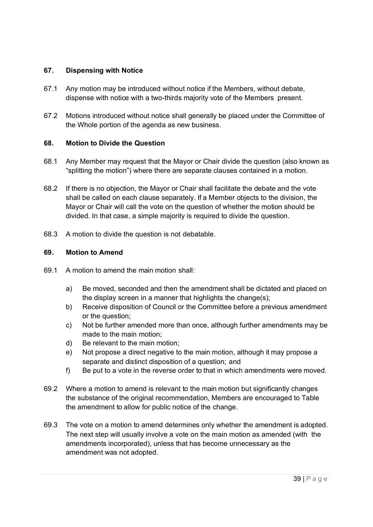# **67. Dispensing with Notice**

- 67.1 Any motion may be introduced without notice if the Members, without debate, dispense with notice with a two-thirds majority vote of the Members present.
- 67.2 Motions introduced without notice shall generally be placed under the Committee of the Whole portion of the agenda as new business.

# **68. Motion to Divide the Question**

- 68.1 Any Member may request that the Mayor or Chair divide the question (also known as "splitting the motion") where there are separate clauses contained in a motion.
- 68.2 If there is no objection, the Mayor or Chair shall facilitate the debate and the vote shall be called on each clause separately. If a Member objects to the division, the Mayor or Chair will call the vote on the question of whether the motion should be divided. In that case, a simple majority is required to divide the question.
- 68.3 A motion to divide the question is not debatable.

#### **69. Motion to Amend**

- 69.1 A motion to amend the main motion shall:
	- a) Be moved, seconded and then the amendment shall be dictated and placed on the display screen in a manner that highlights the change(s);
	- b) Receive disposition of Council or the Committee before a previous amendment or the question;
	- c) Not be further amended more than once, although further amendments may be made to the main motion;
	- d) Be relevant to the main motion;
	- e) Not propose a direct negative to the main motion, although it may propose a separate and distinct disposition of a question; and
	- f) Be put to a vote in the reverse order to that in which amendments were moved.
- 69.2 Where a motion to amend is relevant to the main motion but significantly changes the substance of the original recommendation, Members are encouraged to Table the amendment to allow for public notice of the change.
- 69.3 The vote on a motion to amend determines only whether the amendment is adopted. The next step will usually involve a vote on the main motion as amended (with the amendments incorporated), unless that has become unnecessary as the amendment was not adopted.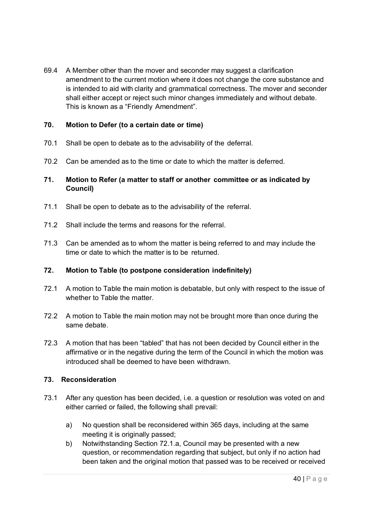69.4 A Member other than the mover and seconder may suggest a clarification amendment to the current motion where it does not change the core substance and is intended to aid with clarity and grammatical correctness. The mover and seconder shall either accept or reject such minor changes immediately and without debate. This is known as a "Friendly Amendment".

# **70. Motion to Defer (to a certain date or time)**

- 70.1 Shall be open to debate as to the advisability of the deferral.
- 70.2 Can be amended as to the time or date to which the matter is deferred.

# **71. Motion to Refer (a matter to staff or another committee or as indicated by Council)**

- 71.1 Shall be open to debate as to the advisability of the referral.
- 71.2 Shall include the terms and reasons for the referral.
- 71.3 Can be amended as to whom the matter is being referred to and may include the time or date to which the matter is to be returned.

# **72. Motion to Table (to postpone consideration indefinitely)**

- 72.1 A motion to Table the main motion is debatable, but only with respect to the issue of whether to Table the matter.
- 72.2 A motion to Table the main motion may not be brought more than once during the same debate.
- 72.3 A motion that has been "tabled" that has not been decided by Council either in the affirmative or in the negative during the term of the Council in which the motion was introduced shall be deemed to have been withdrawn.

#### **73. Reconsideration**

- 73.1 After any question has been decided, i.e. a question or resolution was voted on and either carried or failed, the following shall prevail:
	- a) No question shall be reconsidered within 365 days, including at the same meeting it is originally passed;
	- b) Notwithstanding Section 72.1.a, Council may be presented with a new question, or recommendation regarding that subject, but only if no action had been taken and the original motion that passed was to be received or received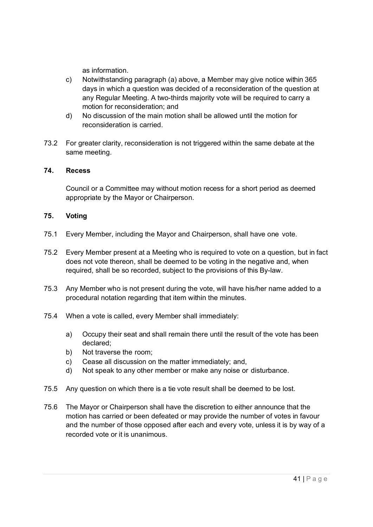as information.

- c) Notwithstanding paragraph (a) above, a Member may give notice within 365 days in which a question was decided of a reconsideration of the question at any Regular Meeting. A two-thirds majority vote will be required to carry a motion for reconsideration; and
- d) No discussion of the main motion shall be allowed until the motion for reconsideration is carried.
- 73.2 For greater clarity, reconsideration is not triggered within the same debate at the same meeting.

#### **74. Recess**

Council or a Committee may without motion recess for a short period as deemed appropriate by the Mayor or Chairperson.

# **75. Voting**

- 75.1 Every Member, including the Mayor and Chairperson, shall have one vote.
- 75.2 Every Member present at a Meeting who is required to vote on a question, but in fact does not vote thereon, shall be deemed to be voting in the negative and, when required, shall be so recorded, subject to the provisions of this By-law.
- 75.3 Any Member who is not present during the vote, will have his/her name added to a procedural notation regarding that item within the minutes.
- 75.4 When a vote is called, every Member shall immediately:
	- a) Occupy their seat and shall remain there until the result of the vote has been declared;
	- b) Not traverse the room;
	- c) Cease all discussion on the matter immediately; and,
	- d) Not speak to any other member or make any noise or disturbance.
- 75.5 Any question on which there is a tie vote result shall be deemed to be lost.
- 75.6 The Mayor or Chairperson shall have the discretion to either announce that the motion has carried or been defeated or may provide the number of votes in favour and the number of those opposed after each and every vote, unless it is by way of a recorded vote or it is unanimous.